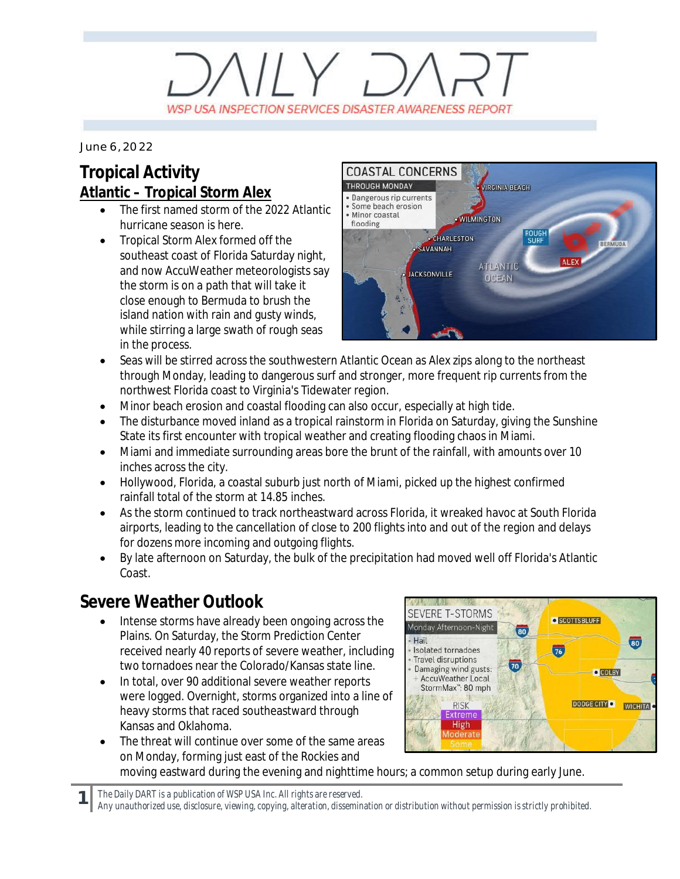# $VUV$  D WSP USA INSPECTION SERVICES DISASTER AWARENESS REPORT

*June 6, 2022*

### **Tropical Activity Atlantic – Tropical Storm Alex**

- The first named storm of the 2022 Atlantic hurricane season is here.
- · Tropical Storm Alex formed off the southeast coast of Florida Saturday night, and now AccuWeather meteorologists say the storm is on a path that will take it close enough to Bermuda to brush the island nation with rain and gusty winds, while stirring a large swath of rough seas in the process.



- Seas will be stirred across the southwestern Atlantic Ocean as Alex zips along to the northeast through Monday, leading to dangerous surf and stronger, more frequent rip currents from the northwest Florida coast to Virginia's Tidewater region.
- · Minor beach erosion and coastal flooding can also occur, especially at high tide.
- The disturbance moved inland as a tropical rainstorm in Florida on Saturday, giving the Sunshine State its first encounter with tropical weather and creating flooding chaos in Miami.
- · Miami and immediate surrounding areas bore the brunt of the rainfall, with amounts over 10 inches across the city.
- Hollywood, Florida, a coastal suburb just north of Miami, picked up the highest confirmed rainfall total of the storm at 14.85 inches.
- As the storm continued to track northeastward across Florida, it wreaked havoc at South Florida airports, leading to the cancellation of close to 200 flights into and out of the region and delays for dozens more incoming and outgoing flights.
- · By late afternoon on Saturday, the bulk of the precipitation had moved well off Florida's Atlantic Coast.

### **Severe Weather Outlook**

**1**

- Intense storms have already been ongoing across the Plains. On Saturday, the Storm Prediction Center received nearly 40 reports of severe weather, including two tornadoes near the Colorado/Kansas state line.
- In total, over 90 additional severe weather reports were logged. Overnight, storms organized into a line of heavy storms that raced southeastward through Kansas and Oklahoma.
- SEVERE T-STORMS **O** SCOTTSBLUFF Monday Afternoon-Night 80 - Hail  $\overline{\mathbf{60}}$ Isolated tornadoes  $\overline{76}$ Travel disruptions 70 Damaging wind gusts: · COLBY AccuWeather Local StormMax": 80 mph DODGE CITY O **RISK WICHITA** Extreme High Moderate
- The threat will continue over some of the same areas on Monday, forming just east of the Rockies and moving eastward during the evening and nighttime hours; a common setup during early June.

*The Daily DART is a publication of WSP USA Inc. All rights are reserved.*

*Any unauthorized use, disclosure, viewing, copying, alteration, dissemination or distribution without permission is strictly prohibited.*